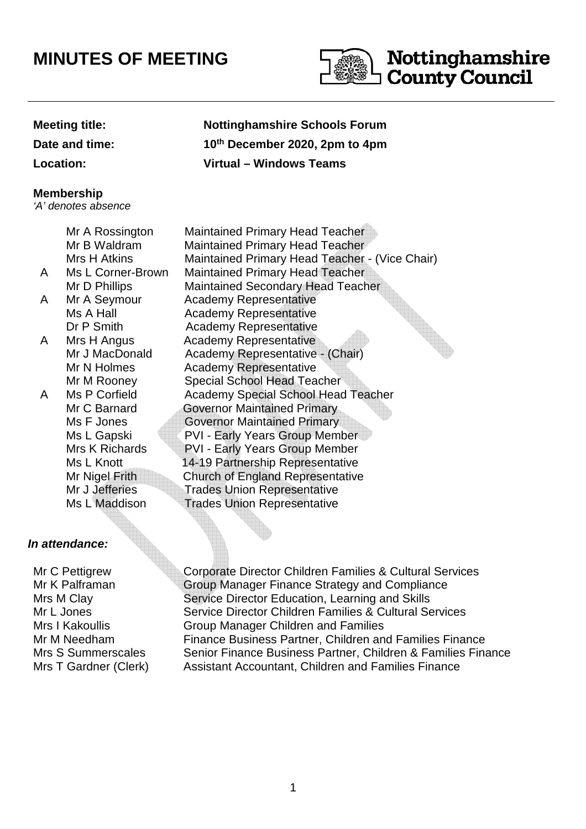# **MINUTES OF MEETING**



**Date and time:** 

#### **Membership**

'A' denotes absence

Mr A Rossington Maintained Primary Head Teacher Mr B Waldram Maintained Primary Head Teacher Mrs H Atkins Maintained Primary Head Teacher - (Vice Chair) A Ms L Corner-Brown Maintained Primary Head Teacher Mr D Phillips Maintained Secondary Head Teacher A Mr A Seymour Academy Representative Ms A Hall **Academy Representative** Dr P Smith Academy Representative A Mrs H Angus Academy Representative Mr J MacDonald Academy Representative - (Chair) Mr N Holmes Academy Representative Mr M Rooney Special School Head Teacher A Ms P Corfield Academy Special School Head Teacher Mr C Barnard **Governor Maintained Primary** Ms F Jones **Governor Maintained Primary** Ms L Gapski PVI - Early Years Group Member Mrs K Richards PVI - Early Years Group Member Ms L Knott 14-19 Partnership Representative Mr Nigel Frith Church of England Representative Mr J Jefferies Trades Union Representative<br>Ms I Maddison Trades Union Representative **Trades Union Representative** 

### **In attendance:**

Mr C Pettigrew Mr K Palframan Mrs M Clay Mr L Jones Mrs I Kakoullis

Corporate Director Children Families & Cultural Services Group Manager Finance Strategy and Compliance Service Director Education, Learning and Skills Service Director Children Families & Cultural Services Group Manager Children and Families Mr M Needham Finance Business Partner, Children and Families Finance Mrs S Summerscales Senior Finance Business Partner, Children & Families Finance Mrs T Gardner (Clerk) Assistant Accountant, Children and Families Finance

## **Meeting title: Nottinghamshire Schools Forum th December 2020, 2pm to 4pm Location: Virtual – Windows Teams**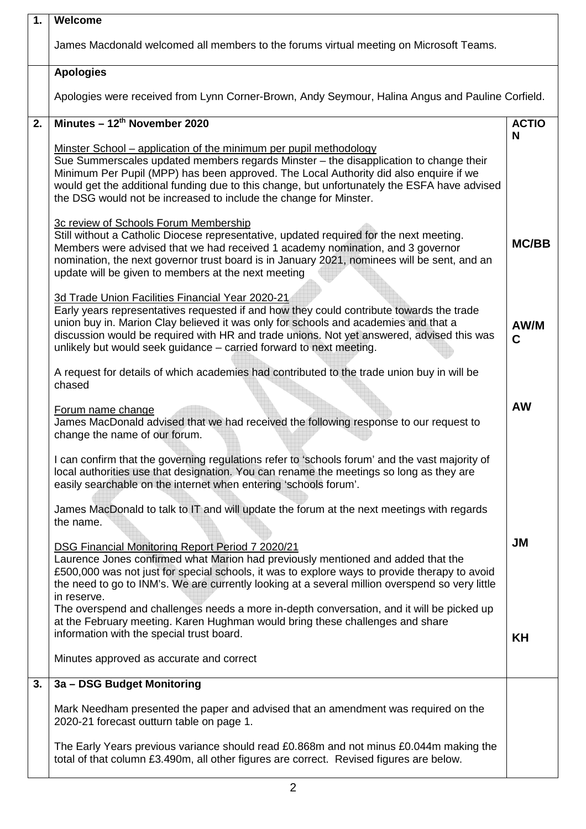| $\mathbf{1}$ . | Welcome                                                                                                                                                                                                                                                                                                                                                                                                                  |              |  |  |
|----------------|--------------------------------------------------------------------------------------------------------------------------------------------------------------------------------------------------------------------------------------------------------------------------------------------------------------------------------------------------------------------------------------------------------------------------|--------------|--|--|
|                | James Macdonald welcomed all members to the forums virtual meeting on Microsoft Teams.                                                                                                                                                                                                                                                                                                                                   |              |  |  |
|                | <b>Apologies</b>                                                                                                                                                                                                                                                                                                                                                                                                         |              |  |  |
|                | Apologies were received from Lynn Corner-Brown, Andy Seymour, Halina Angus and Pauline Corfield.                                                                                                                                                                                                                                                                                                                         |              |  |  |
| 2.             | Minutes - 12th November 2020                                                                                                                                                                                                                                                                                                                                                                                             |              |  |  |
|                | Minster School – application of the minimum per pupil methodology<br>Sue Summerscales updated members regards Minster - the disapplication to change their<br>Minimum Per Pupil (MPP) has been approved. The Local Authority did also enquire if we<br>would get the additional funding due to this change, but unfortunately the ESFA have advised<br>the DSG would not be increased to include the change for Minster. | N            |  |  |
|                | 3c review of Schools Forum Membership<br>Still without a Catholic Diocese representative, updated required for the next meeting.<br>Members were advised that we had received 1 academy nomination, and 3 governor<br>nomination, the next governor trust board is in January 2021, nominees will be sent, and an<br>update will be given to members at the next meeting                                                 | <b>MC/BB</b> |  |  |
|                | 3d Trade Union Facilities Financial Year 2020-21<br>Early years representatives requested if and how they could contribute towards the trade<br>union buy in. Marion Clay believed it was only for schools and academies and that a<br>discussion would be required with HR and trade unions. Not yet answered, advised this was<br>unlikely but would seek guidance - carried forward to next meeting.                  | AW/M<br>C    |  |  |
|                | A request for details of which academies had contributed to the trade union buy in will be<br>chased                                                                                                                                                                                                                                                                                                                     |              |  |  |
|                | Forum name change<br>James MacDonald advised that we had received the following response to our request to<br>change the name of our forum.                                                                                                                                                                                                                                                                              | <b>AW</b>    |  |  |
|                | I can confirm that the governing regulations refer to 'schools forum' and the vast majority of<br>local authorities use that designation. You can rename the meetings so long as they are<br>easily searchable on the internet when entering 'schools forum'.                                                                                                                                                            |              |  |  |
|                | James MacDonald to talk to IT and will update the forum at the next meetings with regards<br>the name.                                                                                                                                                                                                                                                                                                                   |              |  |  |
|                | DSG Financial Monitoring Report Period 7 2020/21<br>Laurence Jones confirmed what Marion had previously mentioned and added that the<br>£500,000 was not just for special schools, it was to explore ways to provide therapy to avoid<br>the need to go to INM's. We are currently looking at a several million overspend so very little<br>in reserve.                                                                  | <b>JM</b>    |  |  |
|                | The overspend and challenges needs a more in-depth conversation, and it will be picked up<br>at the February meeting. Karen Hughman would bring these challenges and share<br>information with the special trust board.                                                                                                                                                                                                  | KH           |  |  |
|                | Minutes approved as accurate and correct                                                                                                                                                                                                                                                                                                                                                                                 |              |  |  |
| 3.             | 3a - DSG Budget Monitoring                                                                                                                                                                                                                                                                                                                                                                                               |              |  |  |
|                | Mark Needham presented the paper and advised that an amendment was required on the<br>2020-21 forecast outturn table on page 1.                                                                                                                                                                                                                                                                                          |              |  |  |
|                | The Early Years previous variance should read £0.868m and not minus £0.044m making the<br>total of that column £3.490m, all other figures are correct. Revised figures are below.                                                                                                                                                                                                                                        |              |  |  |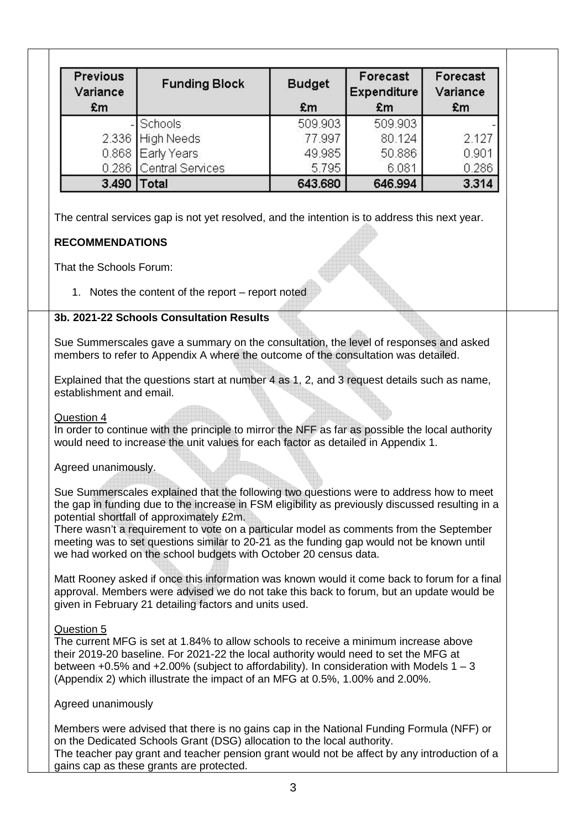| Previous<br>Variance    | <b>Funding Block</b>                                                                          | <b>Budget</b> | Forecast<br><b>Expenditure</b> | Forecast<br>Variance |
|-------------------------|-----------------------------------------------------------------------------------------------|---------------|--------------------------------|----------------------|
| £m                      |                                                                                               | £m            | £m                             | £m                   |
|                         | <b>Schools</b>                                                                                | 509.903       | 509.903                        |                      |
|                         | 2.336 High Needs                                                                              | 77.997        | 80.124                         | 2.127                |
|                         | 0.868 Early Years                                                                             | 49.985        | 50.886                         | 0.901                |
|                         | 0.286 Central Services                                                                        | 5.795         | 6.081                          | 0.286                |
|                         |                                                                                               |               |                                |                      |
|                         | 3.490   Total                                                                                 | 643.680       | 646.994                        |                      |
| <b>RECOMMENDATIONS</b>  | The central services gap is not yet resolved, and the intention is to address this next year. |               |                                | 3.314                |
| That the Schools Forum: |                                                                                               |               |                                |                      |
|                         | 1. Notes the content of the report – report noted                                             |               |                                |                      |

members to refer to Appendix A where the outcome of the consultation was detailed.

Explained that the questions start at number 4 as 1, 2, and 3 request details such as name, establishment and email.

#### Question 4

In order to continue with the principle to mirror the NFF as far as possible the local authority would need to increase the unit values for each factor as detailed in Appendix 1.

#### Agreed unanimously.

Sue Summerscales explained that the following two questions were to address how to meet the gap in funding due to the increase in FSM eligibility as previously discussed resulting in a potential shortfall of approximately £2m.

There wasn't a requirement to vote on a particular model as comments from the September meeting was to set questions similar to 20-21 as the funding gap would not be known until we had worked on the school budgets with October 20 census data.

Matt Rooney asked if once this information was known would it come back to forum for a final approval. Members were advised we do not take this back to forum, but an update would be given in February 21 detailing factors and units used.

#### Question 5

The current MFG is set at 1.84% to allow schools to receive a minimum increase above their 2019-20 baseline. For 2021-22 the local authority would need to set the MFG at between  $+0.5\%$  and  $+2.00\%$  (subject to affordability). In consideration with Models 1 – 3 (Appendix 2) which illustrate the impact of an MFG at 0.5%, 1.00% and 2.00%.

#### Agreed unanimously

Members were advised that there is no gains cap in the National Funding Formula (NFF) or on the Dedicated Schools Grant (DSG) allocation to the local authority. The teacher pay grant and teacher pension grant would not be affect by any introduction of a gains cap as these grants are protected.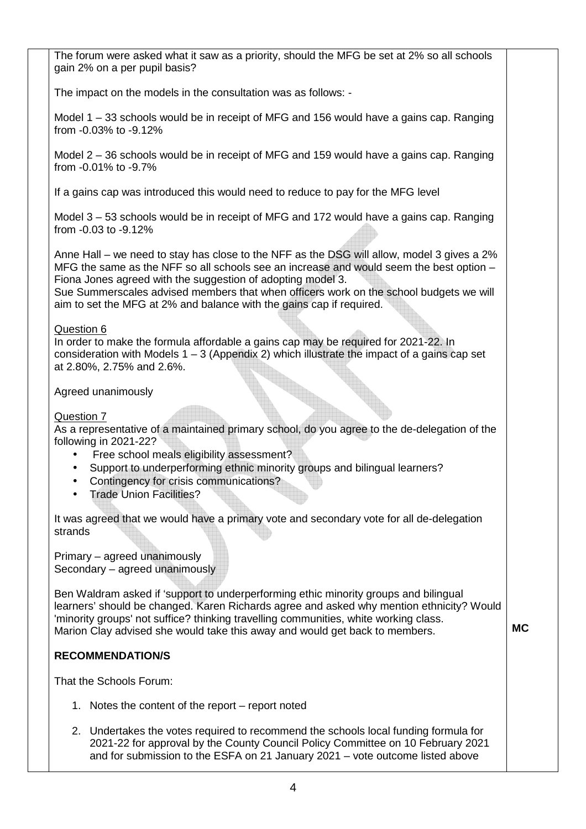The forum were asked what it saw as a priority, should the MFG be set at 2% so all schools gain 2% on a per pupil basis?

The impact on the models in the consultation was as follows: -

Model 1 – 33 schools would be in receipt of MFG and 156 would have a gains cap. Ranging from -0.03% to -9.12%

Model 2 – 36 schools would be in receipt of MFG and 159 would have a gains cap. Ranging from -0.01% to -9.7%

If a gains cap was introduced this would need to reduce to pay for the MFG level

Model 3 – 53 schools would be in receipt of MFG and 172 would have a gains cap. Ranging from -0.03 to -9.12%

Anne Hall – we need to stay has close to the NFF as the DSG will allow, model 3 gives a 2% MFG the same as the NFF so all schools see an increase and would seem the best option – Fiona Jones agreed with the suggestion of adopting model 3.

Sue Summerscales advised members that when officers work on the school budgets we will aim to set the MFG at 2% and balance with the gains cap if required.

#### Question 6

In order to make the formula affordable a gains cap may be required for 2021-22. In consideration with Models  $1 - 3$  (Appendix 2) which illustrate the impact of a gains cap set at 2.80%, 2.75% and 2.6%.

Agreed unanimously

#### Question 7

As a representative of a maintained primary school, do you agree to the de-delegation of the following in 2021-22?

- Free school meals eligibility assessment?
- Support to underperforming ethnic minority groups and bilingual learners?
- Contingency for crisis communications?
- Trade Union Facilities?

It was agreed that we would have a primary vote and secondary vote for all de-delegation strands

Primary – agreed unanimously Secondary – agreed unanimously

Ben Waldram asked if 'support to underperforming ethic minority groups and bilingual learners' should be changed. Karen Richards agree and asked why mention ethnicity? Would 'minority groups' not suffice? thinking travelling communities, white working class. Marion Clay advised she would take this away and would get back to members. **MC** 

### **RECOMMENDATION/S**

That the Schools Forum:

- 1. Notes the content of the report report noted
- 2. Undertakes the votes required to recommend the schools local funding formula for 2021-22 for approval by the County Council Policy Committee on 10 February 2021 and for submission to the ESFA on 21 January 2021 – vote outcome listed above